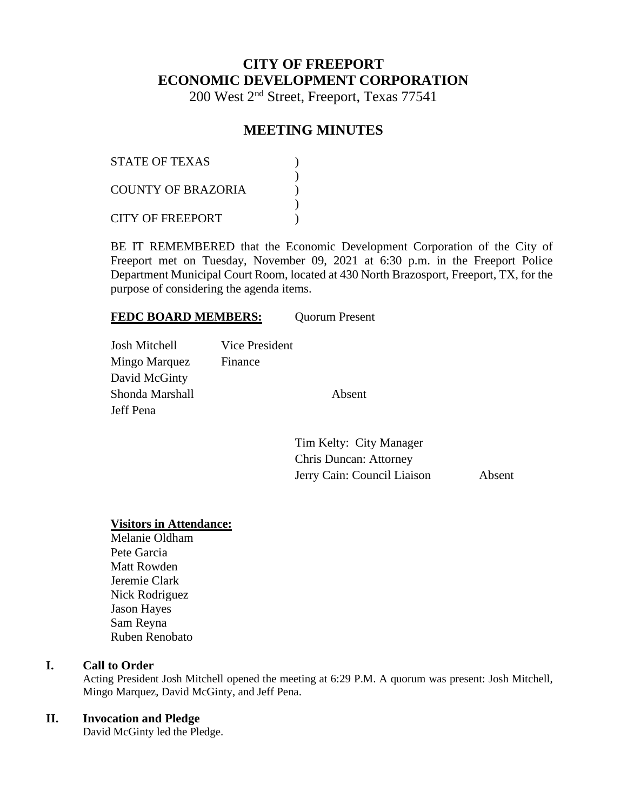# **CITY OF FREEPORT ECONOMIC DEVELOPMENT CORPORATION**

200 West 2nd Street, Freeport, Texas 77541

# **MEETING MINUTES**

| <b>STATE OF TEXAS</b>   |  |
|-------------------------|--|
| COUNTY OF BRAZORIA      |  |
| <b>CITY OF FREEPORT</b> |  |

BE IT REMEMBERED that the Economic Development Corporation of the City of Freeport met on Tuesday, November 09, 2021 at 6:30 p.m. in the Freeport Police Department Municipal Court Room, located at 430 North Brazosport, Freeport, TX, for the purpose of considering the agenda items.

#### FEDC BOARD MEMBERS: Quorum Present

| <b>Josh Mitchell</b> | Vice President |        |
|----------------------|----------------|--------|
| Mingo Marquez        | Finance        |        |
| David McGinty        |                |        |
| Shonda Marshall      |                | Absent |
| Jeff Pena            |                |        |
|                      |                |        |

Tim Kelty: City Manager Chris Duncan: Attorney Jerry Cain: Council Liaison Absent

#### **Visitors in Attendance:**

Melanie Oldham Pete Garcia Matt Rowden Jeremie Clark Nick Rodriguez Jason Hayes Sam Reyna Ruben Renobato

#### **I. Call to Order**

Acting President Josh Mitchell opened the meeting at 6:29 P.M. A quorum was present: Josh Mitchell, Mingo Marquez, David McGinty, and Jeff Pena.

#### **II. Invocation and Pledge**

David McGinty led the Pledge.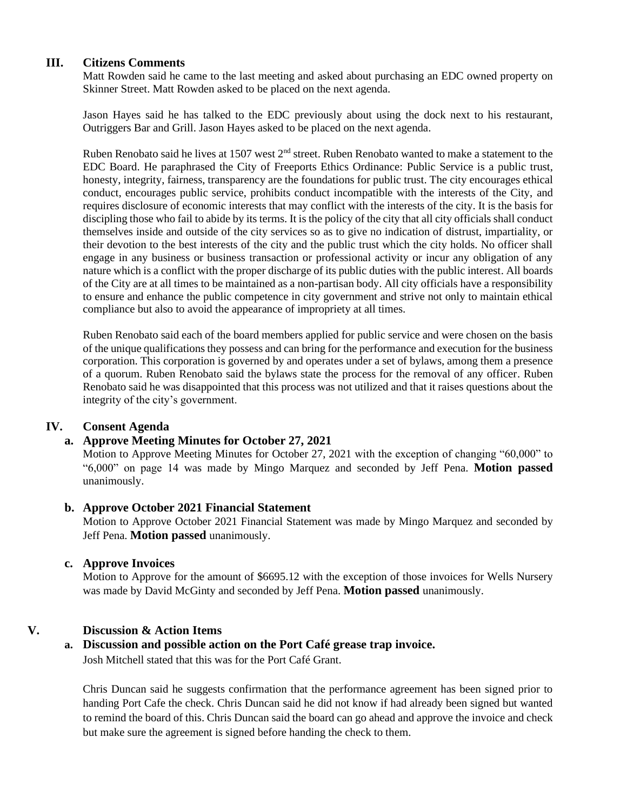### **III. Citizens Comments**

Matt Rowden said he came to the last meeting and asked about purchasing an EDC owned property on Skinner Street. Matt Rowden asked to be placed on the next agenda.

Jason Hayes said he has talked to the EDC previously about using the dock next to his restaurant, Outriggers Bar and Grill. Jason Hayes asked to be placed on the next agenda.

Ruben Renobato said he lives at 1507 west 2<sup>nd</sup> street. Ruben Renobato wanted to make a statement to the EDC Board. He paraphrased the City of Freeports Ethics Ordinance: Public Service is a public trust, honesty, integrity, fairness, transparency are the foundations for public trust. The city encourages ethical conduct, encourages public service, prohibits conduct incompatible with the interests of the City, and requires disclosure of economic interests that may conflict with the interests of the city. It is the basis for discipling those who fail to abide by its terms. It is the policy of the city that all city officials shall conduct themselves inside and outside of the city services so as to give no indication of distrust, impartiality, or their devotion to the best interests of the city and the public trust which the city holds. No officer shall engage in any business or business transaction or professional activity or incur any obligation of any nature which is a conflict with the proper discharge of its public duties with the public interest. All boards of the City are at all times to be maintained as a non-partisan body. All city officials have a responsibility to ensure and enhance the public competence in city government and strive not only to maintain ethical compliance but also to avoid the appearance of impropriety at all times.

Ruben Renobato said each of the board members applied for public service and were chosen on the basis of the unique qualifications they possess and can bring for the performance and execution for the business corporation. This corporation is governed by and operates under a set of bylaws, among them a presence of a quorum. Ruben Renobato said the bylaws state the process for the removal of any officer. Ruben Renobato said he was disappointed that this process was not utilized and that it raises questions about the integrity of the city's government.

### **IV. Consent Agenda**

### **a. Approve Meeting Minutes for October 27, 2021**

Motion to Approve Meeting Minutes for October 27, 2021 with the exception of changing "60,000" to "6,000" on page 14 was made by Mingo Marquez and seconded by Jeff Pena. **Motion passed**  unanimously.

#### **b. Approve October 2021 Financial Statement**

Motion to Approve October 2021 Financial Statement was made by Mingo Marquez and seconded by Jeff Pena. **Motion passed** unanimously.

#### **c. Approve Invoices**

Motion to Approve for the amount of \$6695.12 with the exception of those invoices for Wells Nursery was made by David McGinty and seconded by Jeff Pena. **Motion passed** unanimously.

### **V. Discussion & Action Items**

### **a. Discussion and possible action on the Port Café grease trap invoice.**

Josh Mitchell stated that this was for the Port Café Grant.

Chris Duncan said he suggests confirmation that the performance agreement has been signed prior to handing Port Cafe the check. Chris Duncan said he did not know if had already been signed but wanted to remind the board of this. Chris Duncan said the board can go ahead and approve the invoice and check but make sure the agreement is signed before handing the check to them.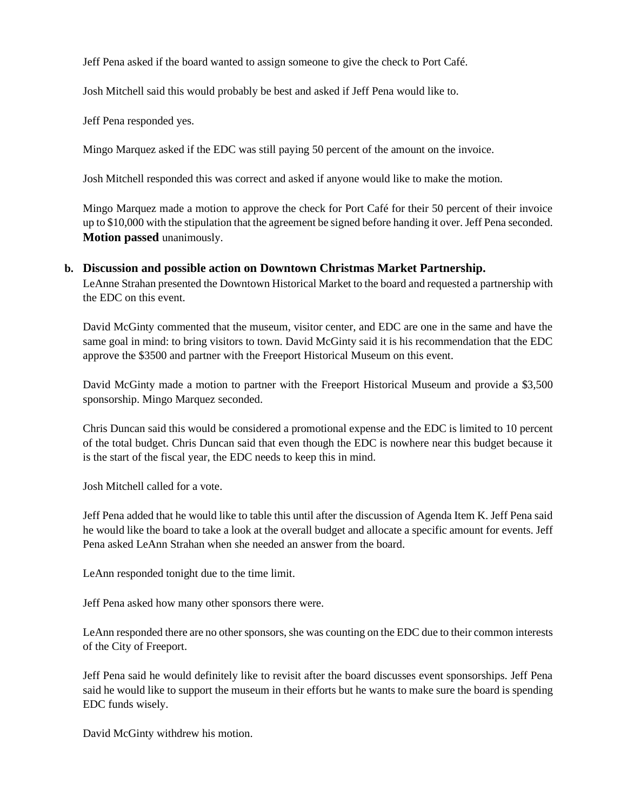Jeff Pena asked if the board wanted to assign someone to give the check to Port Café.

Josh Mitchell said this would probably be best and asked if Jeff Pena would like to.

Jeff Pena responded yes.

Mingo Marquez asked if the EDC was still paying 50 percent of the amount on the invoice.

Josh Mitchell responded this was correct and asked if anyone would like to make the motion.

Mingo Marquez made a motion to approve the check for Port Café for their 50 percent of their invoice up to \$10,000 with the stipulation that the agreement be signed before handing it over. Jeff Pena seconded. **Motion passed** unanimously.

#### **b. Discussion and possible action on Downtown Christmas Market Partnership.**

LeAnne Strahan presented the Downtown Historical Market to the board and requested a partnership with the EDC on this event.

David McGinty commented that the museum, visitor center, and EDC are one in the same and have the same goal in mind: to bring visitors to town. David McGinty said it is his recommendation that the EDC approve the \$3500 and partner with the Freeport Historical Museum on this event.

David McGinty made a motion to partner with the Freeport Historical Museum and provide a \$3,500 sponsorship. Mingo Marquez seconded.

Chris Duncan said this would be considered a promotional expense and the EDC is limited to 10 percent of the total budget. Chris Duncan said that even though the EDC is nowhere near this budget because it is the start of the fiscal year, the EDC needs to keep this in mind.

Josh Mitchell called for a vote.

Jeff Pena added that he would like to table this until after the discussion of Agenda Item K. Jeff Pena said he would like the board to take a look at the overall budget and allocate a specific amount for events. Jeff Pena asked LeAnn Strahan when she needed an answer from the board.

LeAnn responded tonight due to the time limit.

Jeff Pena asked how many other sponsors there were.

LeAnn responded there are no other sponsors, she was counting on the EDC due to their common interests of the City of Freeport.

Jeff Pena said he would definitely like to revisit after the board discusses event sponsorships. Jeff Pena said he would like to support the museum in their efforts but he wants to make sure the board is spending EDC funds wisely.

David McGinty withdrew his motion.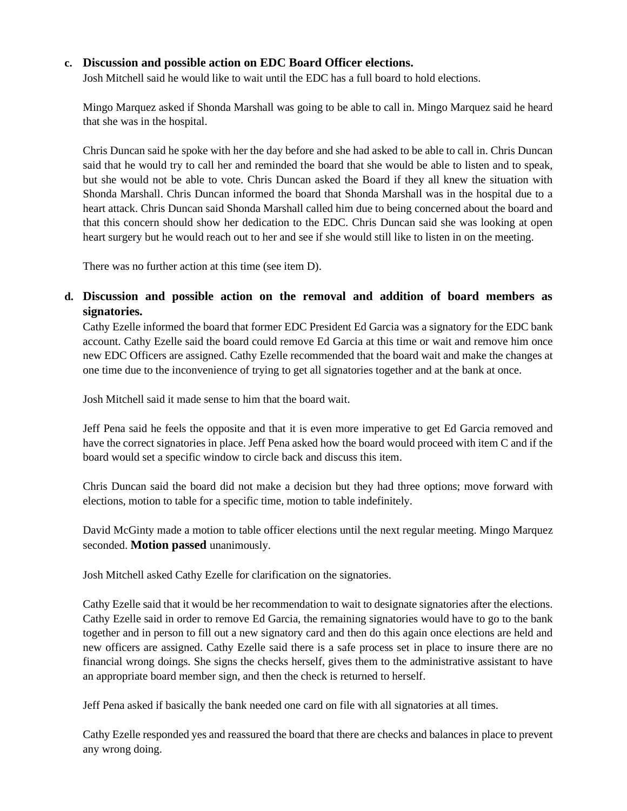## **c. Discussion and possible action on EDC Board Officer elections.**

Josh Mitchell said he would like to wait until the EDC has a full board to hold elections.

Mingo Marquez asked if Shonda Marshall was going to be able to call in. Mingo Marquez said he heard that she was in the hospital.

Chris Duncan said he spoke with her the day before and she had asked to be able to call in. Chris Duncan said that he would try to call her and reminded the board that she would be able to listen and to speak, but she would not be able to vote. Chris Duncan asked the Board if they all knew the situation with Shonda Marshall. Chris Duncan informed the board that Shonda Marshall was in the hospital due to a heart attack. Chris Duncan said Shonda Marshall called him due to being concerned about the board and that this concern should show her dedication to the EDC. Chris Duncan said she was looking at open heart surgery but he would reach out to her and see if she would still like to listen in on the meeting.

There was no further action at this time (see item D).

# **d. Discussion and possible action on the removal and addition of board members as signatories.**

Cathy Ezelle informed the board that former EDC President Ed Garcia was a signatory for the EDC bank account. Cathy Ezelle said the board could remove Ed Garcia at this time or wait and remove him once new EDC Officers are assigned. Cathy Ezelle recommended that the board wait and make the changes at one time due to the inconvenience of trying to get all signatories together and at the bank at once.

Josh Mitchell said it made sense to him that the board wait.

Jeff Pena said he feels the opposite and that it is even more imperative to get Ed Garcia removed and have the correct signatories in place. Jeff Pena asked how the board would proceed with item C and if the board would set a specific window to circle back and discuss this item.

Chris Duncan said the board did not make a decision but they had three options; move forward with elections, motion to table for a specific time, motion to table indefinitely.

David McGinty made a motion to table officer elections until the next regular meeting. Mingo Marquez seconded. **Motion passed** unanimously.

Josh Mitchell asked Cathy Ezelle for clarification on the signatories.

Cathy Ezelle said that it would be her recommendation to wait to designate signatories after the elections. Cathy Ezelle said in order to remove Ed Garcia, the remaining signatories would have to go to the bank together and in person to fill out a new signatory card and then do this again once elections are held and new officers are assigned. Cathy Ezelle said there is a safe process set in place to insure there are no financial wrong doings. She signs the checks herself, gives them to the administrative assistant to have an appropriate board member sign, and then the check is returned to herself.

Jeff Pena asked if basically the bank needed one card on file with all signatories at all times.

Cathy Ezelle responded yes and reassured the board that there are checks and balances in place to prevent any wrong doing.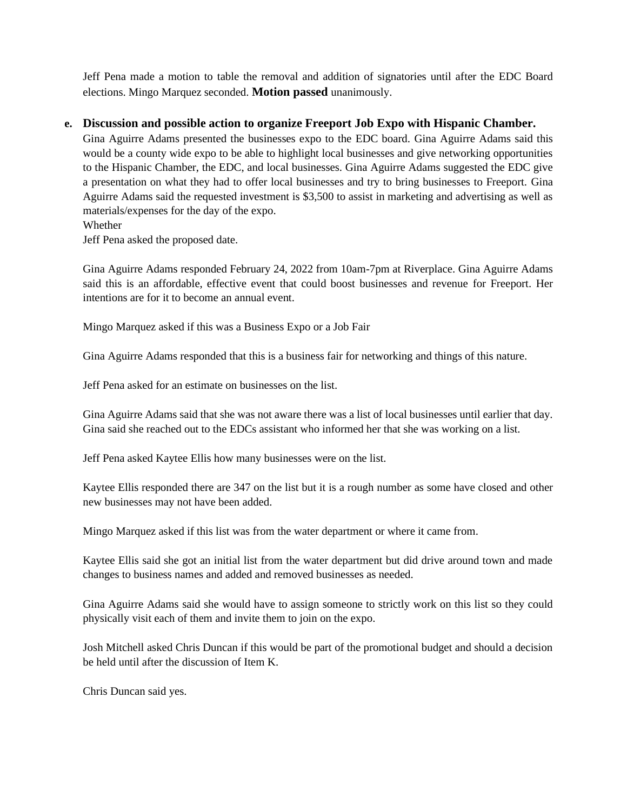Jeff Pena made a motion to table the removal and addition of signatories until after the EDC Board elections. Mingo Marquez seconded. **Motion passed** unanimously.

#### **e. Discussion and possible action to organize Freeport Job Expo with Hispanic Chamber.**

Gina Aguirre Adams presented the businesses expo to the EDC board. Gina Aguirre Adams said this would be a county wide expo to be able to highlight local businesses and give networking opportunities to the Hispanic Chamber, the EDC, and local businesses. Gina Aguirre Adams suggested the EDC give a presentation on what they had to offer local businesses and try to bring businesses to Freeport. Gina Aguirre Adams said the requested investment is \$3,500 to assist in marketing and advertising as well as materials/expenses for the day of the expo.

Whether

Jeff Pena asked the proposed date.

Gina Aguirre Adams responded February 24, 2022 from 10am-7pm at Riverplace. Gina Aguirre Adams said this is an affordable, effective event that could boost businesses and revenue for Freeport. Her intentions are for it to become an annual event.

Mingo Marquez asked if this was a Business Expo or a Job Fair

Gina Aguirre Adams responded that this is a business fair for networking and things of this nature.

Jeff Pena asked for an estimate on businesses on the list.

Gina Aguirre Adams said that she was not aware there was a list of local businesses until earlier that day. Gina said she reached out to the EDCs assistant who informed her that she was working on a list.

Jeff Pena asked Kaytee Ellis how many businesses were on the list.

Kaytee Ellis responded there are 347 on the list but it is a rough number as some have closed and other new businesses may not have been added.

Mingo Marquez asked if this list was from the water department or where it came from.

Kaytee Ellis said she got an initial list from the water department but did drive around town and made changes to business names and added and removed businesses as needed.

Gina Aguirre Adams said she would have to assign someone to strictly work on this list so they could physically visit each of them and invite them to join on the expo.

Josh Mitchell asked Chris Duncan if this would be part of the promotional budget and should a decision be held until after the discussion of Item K.

Chris Duncan said yes.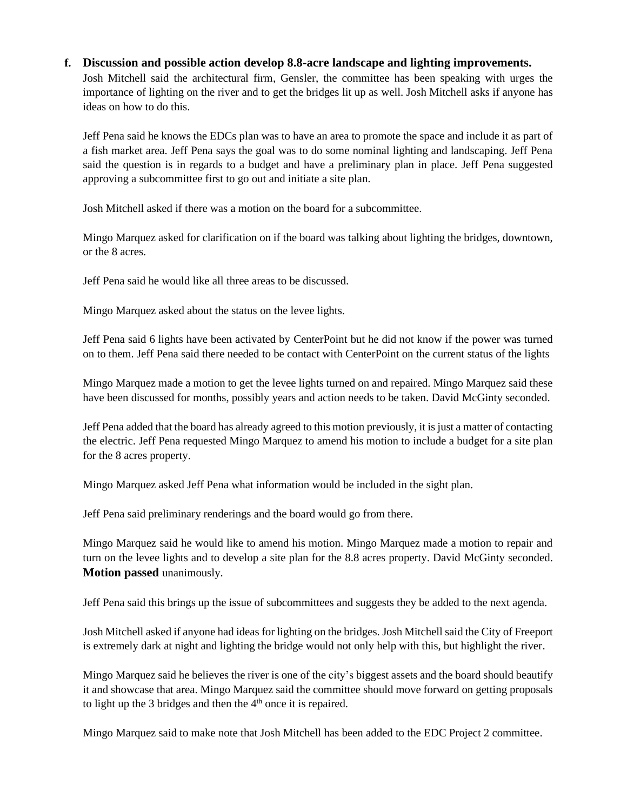### **f. Discussion and possible action develop 8.8-acre landscape and lighting improvements.**

Josh Mitchell said the architectural firm, Gensler, the committee has been speaking with urges the importance of lighting on the river and to get the bridges lit up as well. Josh Mitchell asks if anyone has ideas on how to do this.

Jeff Pena said he knows the EDCs plan was to have an area to promote the space and include it as part of a fish market area. Jeff Pena says the goal was to do some nominal lighting and landscaping. Jeff Pena said the question is in regards to a budget and have a preliminary plan in place. Jeff Pena suggested approving a subcommittee first to go out and initiate a site plan.

Josh Mitchell asked if there was a motion on the board for a subcommittee.

Mingo Marquez asked for clarification on if the board was talking about lighting the bridges, downtown, or the 8 acres.

Jeff Pena said he would like all three areas to be discussed.

Mingo Marquez asked about the status on the levee lights.

Jeff Pena said 6 lights have been activated by CenterPoint but he did not know if the power was turned on to them. Jeff Pena said there needed to be contact with CenterPoint on the current status of the lights

Mingo Marquez made a motion to get the levee lights turned on and repaired. Mingo Marquez said these have been discussed for months, possibly years and action needs to be taken. David McGinty seconded.

Jeff Pena added that the board has already agreed to this motion previously, it is just a matter of contacting the electric. Jeff Pena requested Mingo Marquez to amend his motion to include a budget for a site plan for the 8 acres property.

Mingo Marquez asked Jeff Pena what information would be included in the sight plan.

Jeff Pena said preliminary renderings and the board would go from there.

Mingo Marquez said he would like to amend his motion. Mingo Marquez made a motion to repair and turn on the levee lights and to develop a site plan for the 8.8 acres property. David McGinty seconded. **Motion passed** unanimously.

Jeff Pena said this brings up the issue of subcommittees and suggests they be added to the next agenda.

Josh Mitchell asked if anyone had ideas for lighting on the bridges. Josh Mitchell said the City of Freeport is extremely dark at night and lighting the bridge would not only help with this, but highlight the river.

Mingo Marquez said he believes the river is one of the city's biggest assets and the board should beautify it and showcase that area. Mingo Marquez said the committee should move forward on getting proposals to light up the 3 bridges and then the  $4<sup>th</sup>$  once it is repaired.

Mingo Marquez said to make note that Josh Mitchell has been added to the EDC Project 2 committee.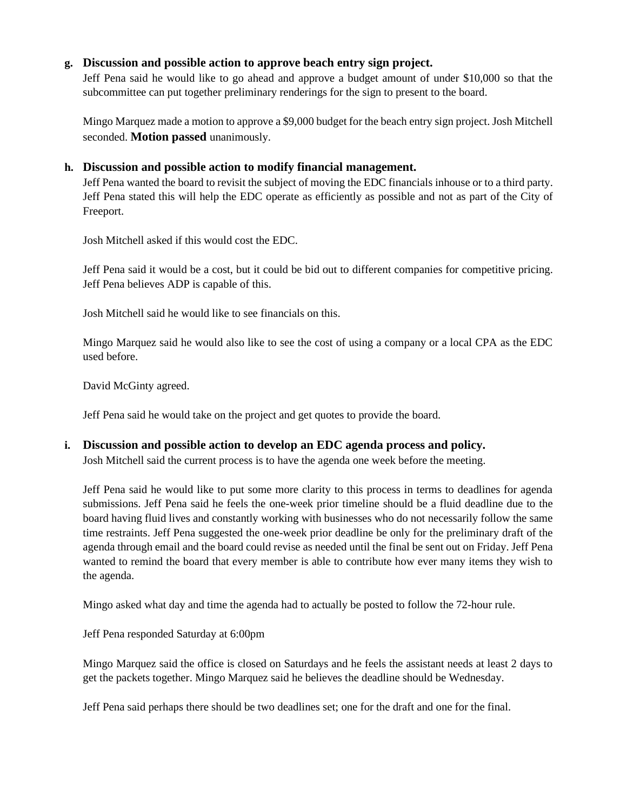## **g. Discussion and possible action to approve beach entry sign project.**

Jeff Pena said he would like to go ahead and approve a budget amount of under \$10,000 so that the subcommittee can put together preliminary renderings for the sign to present to the board.

Mingo Marquez made a motion to approve a \$9,000 budget for the beach entry sign project. Josh Mitchell seconded. **Motion passed** unanimously.

#### **h. Discussion and possible action to modify financial management.**

Jeff Pena wanted the board to revisit the subject of moving the EDC financials inhouse or to a third party. Jeff Pena stated this will help the EDC operate as efficiently as possible and not as part of the City of Freeport.

Josh Mitchell asked if this would cost the EDC.

Jeff Pena said it would be a cost, but it could be bid out to different companies for competitive pricing. Jeff Pena believes ADP is capable of this.

Josh Mitchell said he would like to see financials on this.

Mingo Marquez said he would also like to see the cost of using a company or a local CPA as the EDC used before.

David McGinty agreed.

Jeff Pena said he would take on the project and get quotes to provide the board.

### **i. Discussion and possible action to develop an EDC agenda process and policy.**

Josh Mitchell said the current process is to have the agenda one week before the meeting.

Jeff Pena said he would like to put some more clarity to this process in terms to deadlines for agenda submissions. Jeff Pena said he feels the one-week prior timeline should be a fluid deadline due to the board having fluid lives and constantly working with businesses who do not necessarily follow the same time restraints. Jeff Pena suggested the one-week prior deadline be only for the preliminary draft of the agenda through email and the board could revise as needed until the final be sent out on Friday. Jeff Pena wanted to remind the board that every member is able to contribute how ever many items they wish to the agenda.

Mingo asked what day and time the agenda had to actually be posted to follow the 72-hour rule.

Jeff Pena responded Saturday at 6:00pm

Mingo Marquez said the office is closed on Saturdays and he feels the assistant needs at least 2 days to get the packets together. Mingo Marquez said he believes the deadline should be Wednesday.

Jeff Pena said perhaps there should be two deadlines set; one for the draft and one for the final.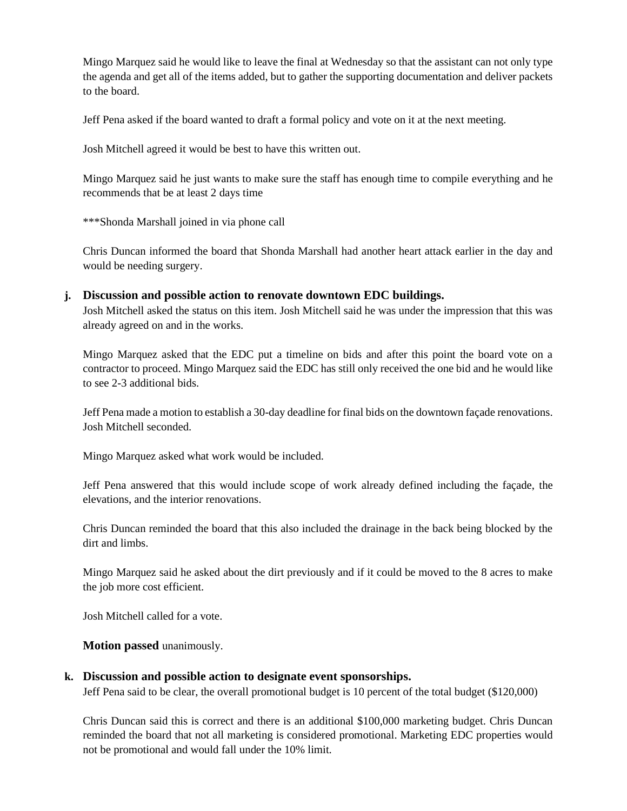Mingo Marquez said he would like to leave the final at Wednesday so that the assistant can not only type the agenda and get all of the items added, but to gather the supporting documentation and deliver packets to the board.

Jeff Pena asked if the board wanted to draft a formal policy and vote on it at the next meeting.

Josh Mitchell agreed it would be best to have this written out.

Mingo Marquez said he just wants to make sure the staff has enough time to compile everything and he recommends that be at least 2 days time

\*\*\*Shonda Marshall joined in via phone call

Chris Duncan informed the board that Shonda Marshall had another heart attack earlier in the day and would be needing surgery.

#### **j. Discussion and possible action to renovate downtown EDC buildings.**

Josh Mitchell asked the status on this item. Josh Mitchell said he was under the impression that this was already agreed on and in the works.

Mingo Marquez asked that the EDC put a timeline on bids and after this point the board vote on a contractor to proceed. Mingo Marquez said the EDC has still only received the one bid and he would like to see 2-3 additional bids.

Jeff Pena made a motion to establish a 30-day deadline for final bids on the downtown façade renovations. Josh Mitchell seconded.

Mingo Marquez asked what work would be included.

Jeff Pena answered that this would include scope of work already defined including the façade, the elevations, and the interior renovations.

Chris Duncan reminded the board that this also included the drainage in the back being blocked by the dirt and limbs.

Mingo Marquez said he asked about the dirt previously and if it could be moved to the 8 acres to make the job more cost efficient.

Josh Mitchell called for a vote.

**Motion passed** unanimously.

#### **k. Discussion and possible action to designate event sponsorships.**

Jeff Pena said to be clear, the overall promotional budget is 10 percent of the total budget (\$120,000)

Chris Duncan said this is correct and there is an additional \$100,000 marketing budget. Chris Duncan reminded the board that not all marketing is considered promotional. Marketing EDC properties would not be promotional and would fall under the 10% limit.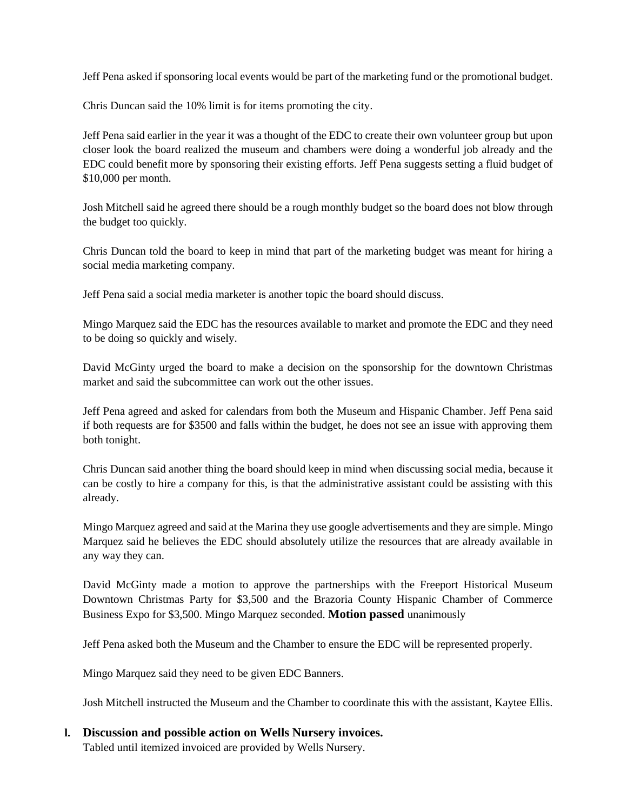Jeff Pena asked if sponsoring local events would be part of the marketing fund or the promotional budget.

Chris Duncan said the 10% limit is for items promoting the city.

Jeff Pena said earlier in the year it was a thought of the EDC to create their own volunteer group but upon closer look the board realized the museum and chambers were doing a wonderful job already and the EDC could benefit more by sponsoring their existing efforts. Jeff Pena suggests setting a fluid budget of \$10,000 per month.

Josh Mitchell said he agreed there should be a rough monthly budget so the board does not blow through the budget too quickly.

Chris Duncan told the board to keep in mind that part of the marketing budget was meant for hiring a social media marketing company.

Jeff Pena said a social media marketer is another topic the board should discuss.

Mingo Marquez said the EDC has the resources available to market and promote the EDC and they need to be doing so quickly and wisely.

David McGinty urged the board to make a decision on the sponsorship for the downtown Christmas market and said the subcommittee can work out the other issues.

Jeff Pena agreed and asked for calendars from both the Museum and Hispanic Chamber. Jeff Pena said if both requests are for \$3500 and falls within the budget, he does not see an issue with approving them both tonight.

Chris Duncan said another thing the board should keep in mind when discussing social media, because it can be costly to hire a company for this, is that the administrative assistant could be assisting with this already.

Mingo Marquez agreed and said at the Marina they use google advertisements and they are simple. Mingo Marquez said he believes the EDC should absolutely utilize the resources that are already available in any way they can.

David McGinty made a motion to approve the partnerships with the Freeport Historical Museum Downtown Christmas Party for \$3,500 and the Brazoria County Hispanic Chamber of Commerce Business Expo for \$3,500. Mingo Marquez seconded. **Motion passed** unanimously

Jeff Pena asked both the Museum and the Chamber to ensure the EDC will be represented properly.

Mingo Marquez said they need to be given EDC Banners.

Josh Mitchell instructed the Museum and the Chamber to coordinate this with the assistant, Kaytee Ellis.

### **l. Discussion and possible action on Wells Nursery invoices.**

Tabled until itemized invoiced are provided by Wells Nursery.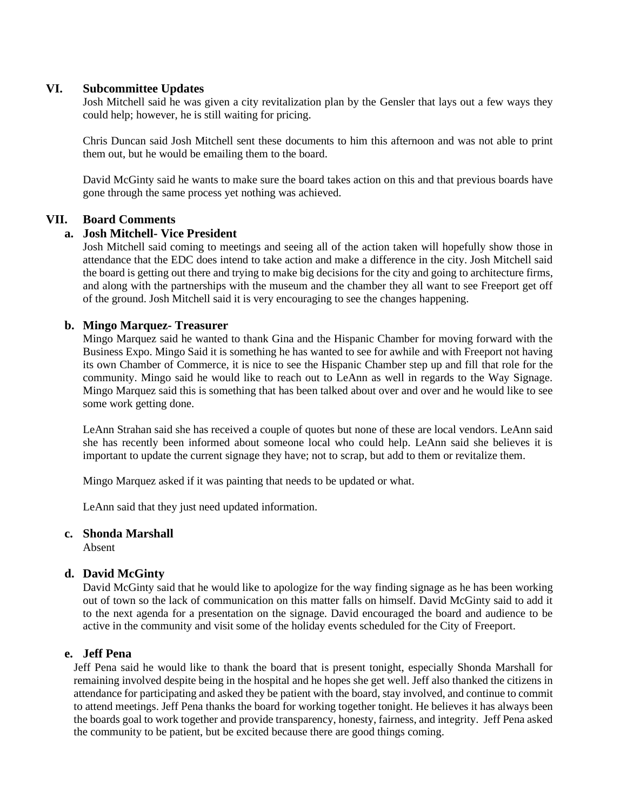#### **VI. Subcommittee Updates**

Josh Mitchell said he was given a city revitalization plan by the Gensler that lays out a few ways they could help; however, he is still waiting for pricing.

Chris Duncan said Josh Mitchell sent these documents to him this afternoon and was not able to print them out, but he would be emailing them to the board.

David McGinty said he wants to make sure the board takes action on this and that previous boards have gone through the same process yet nothing was achieved.

### **VII. Board Comments**

#### **a. Josh Mitchell- Vice President**

Josh Mitchell said coming to meetings and seeing all of the action taken will hopefully show those in attendance that the EDC does intend to take action and make a difference in the city. Josh Mitchell said the board is getting out there and trying to make big decisions for the city and going to architecture firms, and along with the partnerships with the museum and the chamber they all want to see Freeport get off of the ground. Josh Mitchell said it is very encouraging to see the changes happening.

#### **b. Mingo Marquez- Treasurer**

Mingo Marquez said he wanted to thank Gina and the Hispanic Chamber for moving forward with the Business Expo. Mingo Said it is something he has wanted to see for awhile and with Freeport not having its own Chamber of Commerce, it is nice to see the Hispanic Chamber step up and fill that role for the community. Mingo said he would like to reach out to LeAnn as well in regards to the Way Signage. Mingo Marquez said this is something that has been talked about over and over and he would like to see some work getting done.

LeAnn Strahan said she has received a couple of quotes but none of these are local vendors. LeAnn said she has recently been informed about someone local who could help. LeAnn said she believes it is important to update the current signage they have; not to scrap, but add to them or revitalize them.

Mingo Marquez asked if it was painting that needs to be updated or what.

LeAnn said that they just need updated information.

#### **c. Shonda Marshall**

Absent

#### **d. David McGinty**

David McGinty said that he would like to apologize for the way finding signage as he has been working out of town so the lack of communication on this matter falls on himself. David McGinty said to add it to the next agenda for a presentation on the signage. David encouraged the board and audience to be active in the community and visit some of the holiday events scheduled for the City of Freeport.

### **e. Jeff Pena**

Jeff Pena said he would like to thank the board that is present tonight, especially Shonda Marshall for remaining involved despite being in the hospital and he hopes she get well. Jeff also thanked the citizens in attendance for participating and asked they be patient with the board, stay involved, and continue to commit to attend meetings. Jeff Pena thanks the board for working together tonight. He believes it has always been the boards goal to work together and provide transparency, honesty, fairness, and integrity. Jeff Pena asked the community to be patient, but be excited because there are good things coming.